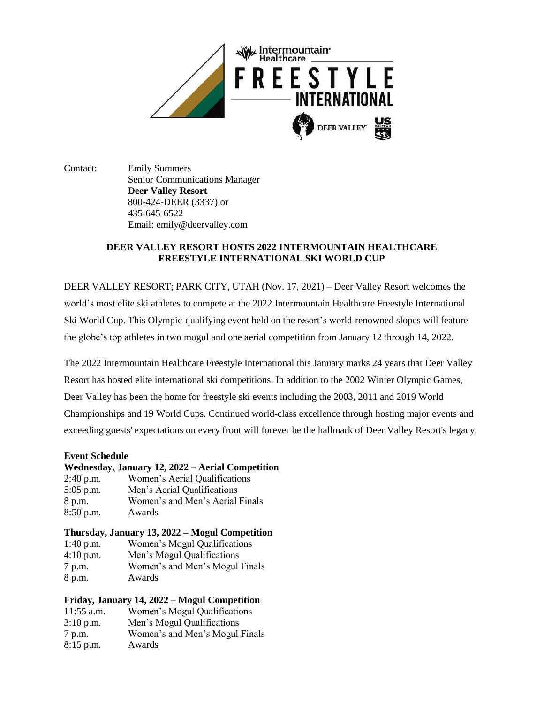

Contact: Emily Summers Senior Communications Manager **Deer Valley Resort** 800-424-DEER (3337) or 435-645-6522 Email: emily@deervalley.com

# **DEER VALLEY RESORT HOSTS 2022 INTERMOUNTAIN HEALTHCARE FREESTYLE INTERNATIONAL SKI WORLD CUP**

DEER VALLEY RESORT; PARK CITY, UTAH (Nov. 17, 2021) – Deer Valley Resort welcomes the world's most elite ski athletes to compete at the 2022 Intermountain Healthcare Freestyle International Ski World Cup. This Olympic-qualifying event held on the resort's world-renowned slopes will feature the globe's top athletes in two mogul and one aerial competition from January 12 through 14, 2022.

The 2022 Intermountain Healthcare Freestyle International this January marks 24 years that Deer Valley Resort has hosted elite international ski competitions. In addition to the 2002 Winter Olympic Games, Deer Valley has been the home for freestyle ski events including the 2003, 2011 and 2019 World Championships and 19 World Cups. Continued world-class excellence through hosting major events and exceeding guests' expectations on every front will forever be the hallmark of Deer Valley Resort's legacy.

### **Event Schedule**

### **Wednesday, January 12, 2022 – Aerial Competition**

2:40 p.m. Women's Aerial Qualifications 5:05 p.m. Men's Aerial Qualifications 8 p.m. Women's and Men's Aerial Finals 8:50 p.m. Awards

## **Thursday, January 13, 2022 – Mogul Competition**

| $1:40$ p.m. | Women's Mogul Qualifications   |
|-------------|--------------------------------|
| $4:10$ p.m. | Men's Mogul Qualifications     |
| 7 p.m.      | Women's and Men's Mogul Finals |
| 8 p.m.      | Awards                         |

## **Friday, January 14, 2022 – Mogul Competition**

| $11:55$ a.m. | Women's Mogul Qualifications   |
|--------------|--------------------------------|
| $3:10$ p.m.  | Men's Mogul Qualifications     |
| 7 p.m.       | Women's and Men's Mogul Finals |
| $8:15$ p.m.  | Awards                         |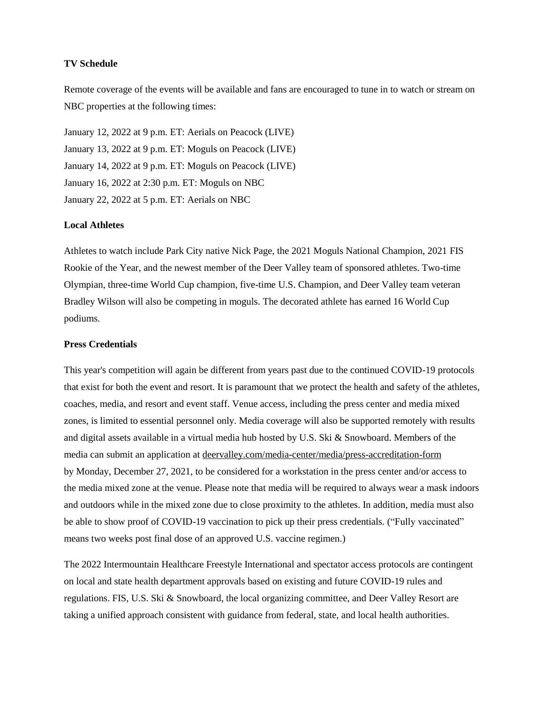### **TV Schedule**

Remote coverage of the events will be available and fans are encouraged to tune in to watch or stream on NBC properties at the following times:

January 12, 2022 at 9 p.m. ET: Aerials on Peacock (LIVE) January 13, 2022 at 9 p.m. ET: Moguls on Peacock (LIVE) January 14, 2022 at 9 p.m. ET: Moguls on Peacock (LIVE) January 16, 2022 at 2:30 p.m. ET: Moguls on NBC January 22, 2022 at 5 p.m. ET: Aerials on NBC

### **Local Athletes**

Athletes to watch include Park City native Nick Page, the 2021 Moguls National Champion, 2021 FIS Rookie of the Year, and the newest member of the Deer Valley team of sponsored athletes. Two-time Olympian, three-time World Cup champion, five-time U.S. Champion, and Deer Valley team veteran Bradley Wilson will also be competing in moguls. The decorated athlete has earned 16 World Cup podiums.

### **Press Credentials**

This year's competition will again be different from years past due to the continued COVID-19 protocols that exist for both the event and resort. It is paramount that we protect the health and safety of the athletes, coaches, media, and resort and event staff. Venue access, including the press center and media mixed zones, is limited to essential personnel only. Media coverage will also be supported remotely with results and digital assets available in a virtual media hub hosted by U.S. Ski & Snowboard. Members of the media can submit an application at [deervalley.com/media-center/media/press-accreditation-form](https://www.deervalley.com/media-center/media/press-accreditation-form) by Monday, December 27, 2021, to be considered for a workstation in the press center and/or access to the media mixed zone at the venue. Please note that media will be required to always wear a mask indoors and outdoors while in the mixed zone due to close proximity to the athletes. In addition, media must also be able to show proof of COVID-19 vaccination to pick up their press credentials. ("Fully vaccinated" means two weeks post final dose of an approved U.S. vaccine regimen.)

The 2022 Intermountain Healthcare Freestyle International and spectator access protocols are contingent on local and state health department approvals based on existing and future COVID-19 rules and regulations. FIS, U.S. Ski & Snowboard, the local organizing committee, and Deer Valley Resort are taking a unified approach consistent with guidance from federal, state, and local health authorities.